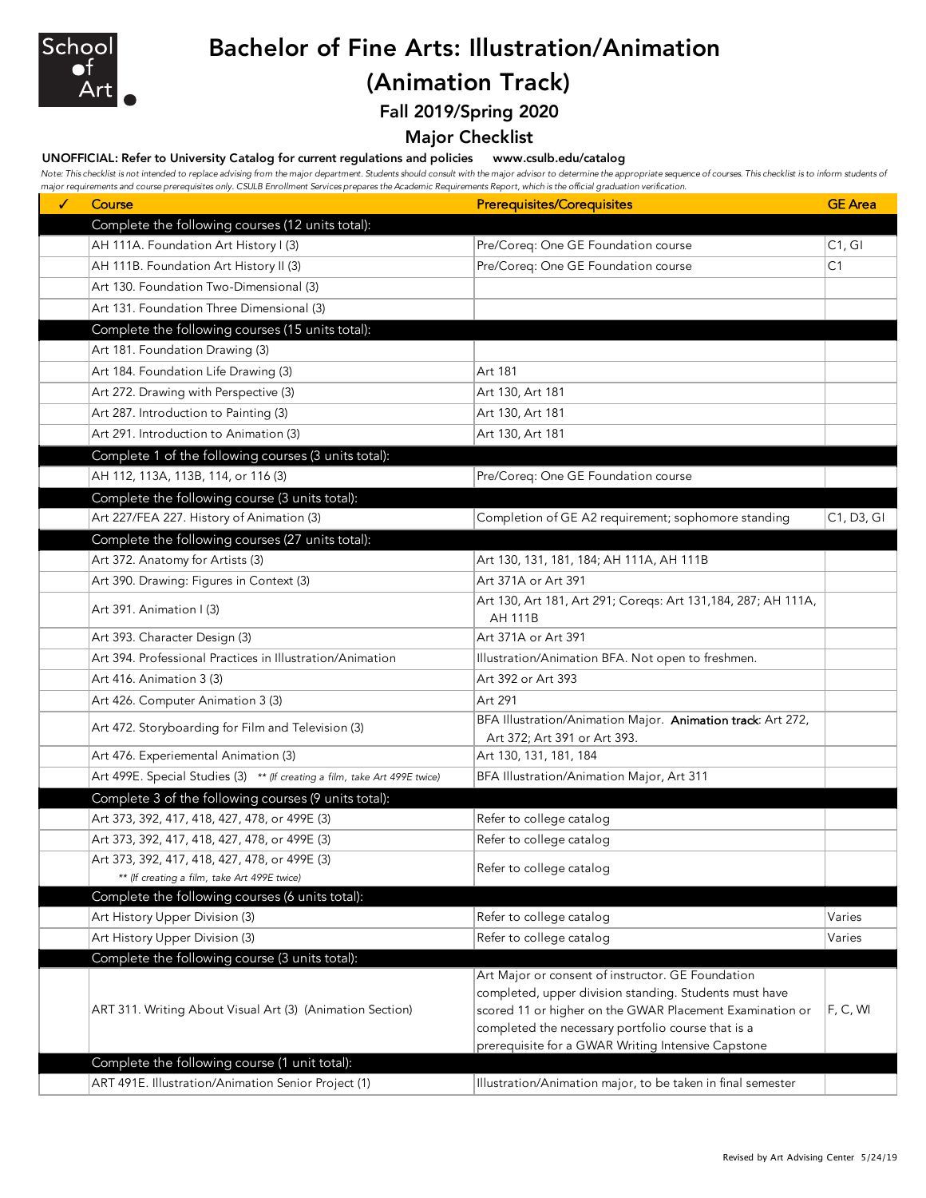

# Bachelor of Fine Arts: Illustration/Animation

## (Animation Track)

Fall 2019/Spring 2020

### Major Checklist

#### UNOFFICIAL: Refer to University Catalog for current regulations and policies www.csulb.edu/catalog

Note: This checklist is not intended to replace advising from the major department. Students should consult with the major advisor to determine the appropriate sequence of courses. This checklist is to inform students of *major requirements and course prerequisites only. CSULB Enrollment Services prepares the Academic Requirements Report, which is the official graduation verification.*

| Complete the following courses (12 units total):<br>AH 111A. Foundation Art History I (3)<br>Pre/Coreq: One GE Foundation course<br>C1, G1<br>AH 111B. Foundation Art History II (3)<br>Pre/Coreq: One GE Foundation course<br>C <sub>1</sub><br>Art 130. Foundation Two-Dimensional (3)<br>Art 131. Foundation Three Dimensional (3)<br>Complete the following courses (15 units total):<br>Art 181. Foundation Drawing (3)<br>Art 184. Foundation Life Drawing (3)<br>Art 181<br>Art 272. Drawing with Perspective (3)<br>Art 130, Art 181<br>Art 287. Introduction to Painting (3)<br>Art 130, Art 181<br>Art 291. Introduction to Animation (3)<br>Art 130, Art 181<br>Complete 1 of the following courses (3 units total):<br>AH 112, 113A, 113B, 114, or 116 (3)<br>Pre/Coreq: One GE Foundation course<br>Complete the following course (3 units total):<br>Art 227/FEA 227. History of Animation (3)<br>Completion of GE A2 requirement; sophomore standing<br>C1, D3, GI<br>Complete the following courses (27 units total):<br>Art 372. Anatomy for Artists (3)<br>Art 130, 131, 181, 184; AH 111A, AH 111B<br>Art 390. Drawing: Figures in Context (3)<br>Art 371A or Art 391<br>Art 130, Art 181, Art 291; Coreqs: Art 131, 184, 287; AH 111A,<br>Art 391. Animation I (3)<br><b>AH 111B</b><br>Art 393. Character Design (3)<br>Art 371A or Art 391<br>Art 394. Professional Practices in Illustration/Animation<br>Illustration/Animation BFA. Not open to freshmen.<br>Art 416. Animation 3 (3)<br>Art 392 or Art 393<br>Art 291<br>Art 426. Computer Animation 3 (3)<br>BFA Illustration/Animation Major. Animation track: Art 272,<br>Art 472. Storyboarding for Film and Television (3)<br>Art 372; Art 391 or Art 393.<br>Art 476. Experiemental Animation (3)<br>Art 130, 131, 181, 184<br>Art 499E. Special Studies (3) ** (If creating a film, take Art 499E twice)<br>BFA Illustration/Animation Major, Art 311<br>Complete 3 of the following courses (9 units total):<br>Refer to college catalog<br>Art 373, 392, 417, 418, 427, 478, or 499E (3)<br>Refer to college catalog<br>Art 373, 392, 417, 418, 427, 478, or 499E (3)<br>Art 373, 392, 417, 418, 427, 478, or 499E (3)<br>Refer to college catalog<br>** (If creating a film, take Art 499E twice)<br>Complete the following courses (6 units total): |
|------------------------------------------------------------------------------------------------------------------------------------------------------------------------------------------------------------------------------------------------------------------------------------------------------------------------------------------------------------------------------------------------------------------------------------------------------------------------------------------------------------------------------------------------------------------------------------------------------------------------------------------------------------------------------------------------------------------------------------------------------------------------------------------------------------------------------------------------------------------------------------------------------------------------------------------------------------------------------------------------------------------------------------------------------------------------------------------------------------------------------------------------------------------------------------------------------------------------------------------------------------------------------------------------------------------------------------------------------------------------------------------------------------------------------------------------------------------------------------------------------------------------------------------------------------------------------------------------------------------------------------------------------------------------------------------------------------------------------------------------------------------------------------------------------------------------------------------------------------------------------------------------------------------------------------------------------------------------------------------------------------------------------------------------------------------------------------------------------------------------------------------------------------------------------------------------------------------------------------------------------------------------------------------------------------------------------------------|
|                                                                                                                                                                                                                                                                                                                                                                                                                                                                                                                                                                                                                                                                                                                                                                                                                                                                                                                                                                                                                                                                                                                                                                                                                                                                                                                                                                                                                                                                                                                                                                                                                                                                                                                                                                                                                                                                                                                                                                                                                                                                                                                                                                                                                                                                                                                                          |
|                                                                                                                                                                                                                                                                                                                                                                                                                                                                                                                                                                                                                                                                                                                                                                                                                                                                                                                                                                                                                                                                                                                                                                                                                                                                                                                                                                                                                                                                                                                                                                                                                                                                                                                                                                                                                                                                                                                                                                                                                                                                                                                                                                                                                                                                                                                                          |
|                                                                                                                                                                                                                                                                                                                                                                                                                                                                                                                                                                                                                                                                                                                                                                                                                                                                                                                                                                                                                                                                                                                                                                                                                                                                                                                                                                                                                                                                                                                                                                                                                                                                                                                                                                                                                                                                                                                                                                                                                                                                                                                                                                                                                                                                                                                                          |
|                                                                                                                                                                                                                                                                                                                                                                                                                                                                                                                                                                                                                                                                                                                                                                                                                                                                                                                                                                                                                                                                                                                                                                                                                                                                                                                                                                                                                                                                                                                                                                                                                                                                                                                                                                                                                                                                                                                                                                                                                                                                                                                                                                                                                                                                                                                                          |
|                                                                                                                                                                                                                                                                                                                                                                                                                                                                                                                                                                                                                                                                                                                                                                                                                                                                                                                                                                                                                                                                                                                                                                                                                                                                                                                                                                                                                                                                                                                                                                                                                                                                                                                                                                                                                                                                                                                                                                                                                                                                                                                                                                                                                                                                                                                                          |
|                                                                                                                                                                                                                                                                                                                                                                                                                                                                                                                                                                                                                                                                                                                                                                                                                                                                                                                                                                                                                                                                                                                                                                                                                                                                                                                                                                                                                                                                                                                                                                                                                                                                                                                                                                                                                                                                                                                                                                                                                                                                                                                                                                                                                                                                                                                                          |
|                                                                                                                                                                                                                                                                                                                                                                                                                                                                                                                                                                                                                                                                                                                                                                                                                                                                                                                                                                                                                                                                                                                                                                                                                                                                                                                                                                                                                                                                                                                                                                                                                                                                                                                                                                                                                                                                                                                                                                                                                                                                                                                                                                                                                                                                                                                                          |
|                                                                                                                                                                                                                                                                                                                                                                                                                                                                                                                                                                                                                                                                                                                                                                                                                                                                                                                                                                                                                                                                                                                                                                                                                                                                                                                                                                                                                                                                                                                                                                                                                                                                                                                                                                                                                                                                                                                                                                                                                                                                                                                                                                                                                                                                                                                                          |
|                                                                                                                                                                                                                                                                                                                                                                                                                                                                                                                                                                                                                                                                                                                                                                                                                                                                                                                                                                                                                                                                                                                                                                                                                                                                                                                                                                                                                                                                                                                                                                                                                                                                                                                                                                                                                                                                                                                                                                                                                                                                                                                                                                                                                                                                                                                                          |
|                                                                                                                                                                                                                                                                                                                                                                                                                                                                                                                                                                                                                                                                                                                                                                                                                                                                                                                                                                                                                                                                                                                                                                                                                                                                                                                                                                                                                                                                                                                                                                                                                                                                                                                                                                                                                                                                                                                                                                                                                                                                                                                                                                                                                                                                                                                                          |
|                                                                                                                                                                                                                                                                                                                                                                                                                                                                                                                                                                                                                                                                                                                                                                                                                                                                                                                                                                                                                                                                                                                                                                                                                                                                                                                                                                                                                                                                                                                                                                                                                                                                                                                                                                                                                                                                                                                                                                                                                                                                                                                                                                                                                                                                                                                                          |
|                                                                                                                                                                                                                                                                                                                                                                                                                                                                                                                                                                                                                                                                                                                                                                                                                                                                                                                                                                                                                                                                                                                                                                                                                                                                                                                                                                                                                                                                                                                                                                                                                                                                                                                                                                                                                                                                                                                                                                                                                                                                                                                                                                                                                                                                                                                                          |
|                                                                                                                                                                                                                                                                                                                                                                                                                                                                                                                                                                                                                                                                                                                                                                                                                                                                                                                                                                                                                                                                                                                                                                                                                                                                                                                                                                                                                                                                                                                                                                                                                                                                                                                                                                                                                                                                                                                                                                                                                                                                                                                                                                                                                                                                                                                                          |
|                                                                                                                                                                                                                                                                                                                                                                                                                                                                                                                                                                                                                                                                                                                                                                                                                                                                                                                                                                                                                                                                                                                                                                                                                                                                                                                                                                                                                                                                                                                                                                                                                                                                                                                                                                                                                                                                                                                                                                                                                                                                                                                                                                                                                                                                                                                                          |
|                                                                                                                                                                                                                                                                                                                                                                                                                                                                                                                                                                                                                                                                                                                                                                                                                                                                                                                                                                                                                                                                                                                                                                                                                                                                                                                                                                                                                                                                                                                                                                                                                                                                                                                                                                                                                                                                                                                                                                                                                                                                                                                                                                                                                                                                                                                                          |
|                                                                                                                                                                                                                                                                                                                                                                                                                                                                                                                                                                                                                                                                                                                                                                                                                                                                                                                                                                                                                                                                                                                                                                                                                                                                                                                                                                                                                                                                                                                                                                                                                                                                                                                                                                                                                                                                                                                                                                                                                                                                                                                                                                                                                                                                                                                                          |
|                                                                                                                                                                                                                                                                                                                                                                                                                                                                                                                                                                                                                                                                                                                                                                                                                                                                                                                                                                                                                                                                                                                                                                                                                                                                                                                                                                                                                                                                                                                                                                                                                                                                                                                                                                                                                                                                                                                                                                                                                                                                                                                                                                                                                                                                                                                                          |
|                                                                                                                                                                                                                                                                                                                                                                                                                                                                                                                                                                                                                                                                                                                                                                                                                                                                                                                                                                                                                                                                                                                                                                                                                                                                                                                                                                                                                                                                                                                                                                                                                                                                                                                                                                                                                                                                                                                                                                                                                                                                                                                                                                                                                                                                                                                                          |
|                                                                                                                                                                                                                                                                                                                                                                                                                                                                                                                                                                                                                                                                                                                                                                                                                                                                                                                                                                                                                                                                                                                                                                                                                                                                                                                                                                                                                                                                                                                                                                                                                                                                                                                                                                                                                                                                                                                                                                                                                                                                                                                                                                                                                                                                                                                                          |
|                                                                                                                                                                                                                                                                                                                                                                                                                                                                                                                                                                                                                                                                                                                                                                                                                                                                                                                                                                                                                                                                                                                                                                                                                                                                                                                                                                                                                                                                                                                                                                                                                                                                                                                                                                                                                                                                                                                                                                                                                                                                                                                                                                                                                                                                                                                                          |
|                                                                                                                                                                                                                                                                                                                                                                                                                                                                                                                                                                                                                                                                                                                                                                                                                                                                                                                                                                                                                                                                                                                                                                                                                                                                                                                                                                                                                                                                                                                                                                                                                                                                                                                                                                                                                                                                                                                                                                                                                                                                                                                                                                                                                                                                                                                                          |
|                                                                                                                                                                                                                                                                                                                                                                                                                                                                                                                                                                                                                                                                                                                                                                                                                                                                                                                                                                                                                                                                                                                                                                                                                                                                                                                                                                                                                                                                                                                                                                                                                                                                                                                                                                                                                                                                                                                                                                                                                                                                                                                                                                                                                                                                                                                                          |
|                                                                                                                                                                                                                                                                                                                                                                                                                                                                                                                                                                                                                                                                                                                                                                                                                                                                                                                                                                                                                                                                                                                                                                                                                                                                                                                                                                                                                                                                                                                                                                                                                                                                                                                                                                                                                                                                                                                                                                                                                                                                                                                                                                                                                                                                                                                                          |
|                                                                                                                                                                                                                                                                                                                                                                                                                                                                                                                                                                                                                                                                                                                                                                                                                                                                                                                                                                                                                                                                                                                                                                                                                                                                                                                                                                                                                                                                                                                                                                                                                                                                                                                                                                                                                                                                                                                                                                                                                                                                                                                                                                                                                                                                                                                                          |
|                                                                                                                                                                                                                                                                                                                                                                                                                                                                                                                                                                                                                                                                                                                                                                                                                                                                                                                                                                                                                                                                                                                                                                                                                                                                                                                                                                                                                                                                                                                                                                                                                                                                                                                                                                                                                                                                                                                                                                                                                                                                                                                                                                                                                                                                                                                                          |
|                                                                                                                                                                                                                                                                                                                                                                                                                                                                                                                                                                                                                                                                                                                                                                                                                                                                                                                                                                                                                                                                                                                                                                                                                                                                                                                                                                                                                                                                                                                                                                                                                                                                                                                                                                                                                                                                                                                                                                                                                                                                                                                                                                                                                                                                                                                                          |
|                                                                                                                                                                                                                                                                                                                                                                                                                                                                                                                                                                                                                                                                                                                                                                                                                                                                                                                                                                                                                                                                                                                                                                                                                                                                                                                                                                                                                                                                                                                                                                                                                                                                                                                                                                                                                                                                                                                                                                                                                                                                                                                                                                                                                                                                                                                                          |
|                                                                                                                                                                                                                                                                                                                                                                                                                                                                                                                                                                                                                                                                                                                                                                                                                                                                                                                                                                                                                                                                                                                                                                                                                                                                                                                                                                                                                                                                                                                                                                                                                                                                                                                                                                                                                                                                                                                                                                                                                                                                                                                                                                                                                                                                                                                                          |
|                                                                                                                                                                                                                                                                                                                                                                                                                                                                                                                                                                                                                                                                                                                                                                                                                                                                                                                                                                                                                                                                                                                                                                                                                                                                                                                                                                                                                                                                                                                                                                                                                                                                                                                                                                                                                                                                                                                                                                                                                                                                                                                                                                                                                                                                                                                                          |
|                                                                                                                                                                                                                                                                                                                                                                                                                                                                                                                                                                                                                                                                                                                                                                                                                                                                                                                                                                                                                                                                                                                                                                                                                                                                                                                                                                                                                                                                                                                                                                                                                                                                                                                                                                                                                                                                                                                                                                                                                                                                                                                                                                                                                                                                                                                                          |
|                                                                                                                                                                                                                                                                                                                                                                                                                                                                                                                                                                                                                                                                                                                                                                                                                                                                                                                                                                                                                                                                                                                                                                                                                                                                                                                                                                                                                                                                                                                                                                                                                                                                                                                                                                                                                                                                                                                                                                                                                                                                                                                                                                                                                                                                                                                                          |
|                                                                                                                                                                                                                                                                                                                                                                                                                                                                                                                                                                                                                                                                                                                                                                                                                                                                                                                                                                                                                                                                                                                                                                                                                                                                                                                                                                                                                                                                                                                                                                                                                                                                                                                                                                                                                                                                                                                                                                                                                                                                                                                                                                                                                                                                                                                                          |
| Art History Upper Division (3)<br>Refer to college catalog<br>Varies                                                                                                                                                                                                                                                                                                                                                                                                                                                                                                                                                                                                                                                                                                                                                                                                                                                                                                                                                                                                                                                                                                                                                                                                                                                                                                                                                                                                                                                                                                                                                                                                                                                                                                                                                                                                                                                                                                                                                                                                                                                                                                                                                                                                                                                                     |
| Refer to college catalog<br>Art History Upper Division (3)<br>Varies                                                                                                                                                                                                                                                                                                                                                                                                                                                                                                                                                                                                                                                                                                                                                                                                                                                                                                                                                                                                                                                                                                                                                                                                                                                                                                                                                                                                                                                                                                                                                                                                                                                                                                                                                                                                                                                                                                                                                                                                                                                                                                                                                                                                                                                                     |
| Complete the following course (3 units total):<br>Art Major or consent of instructor. GE Foundation                                                                                                                                                                                                                                                                                                                                                                                                                                                                                                                                                                                                                                                                                                                                                                                                                                                                                                                                                                                                                                                                                                                                                                                                                                                                                                                                                                                                                                                                                                                                                                                                                                                                                                                                                                                                                                                                                                                                                                                                                                                                                                                                                                                                                                      |
| completed, upper division standing. Students must have<br>ART 311. Writing About Visual Art (3) (Animation Section)<br>F, C, WI<br>scored 11 or higher on the GWAR Placement Examination or<br>completed the necessary portfolio course that is a<br>prerequisite for a GWAR Writing Intensive Capstone                                                                                                                                                                                                                                                                                                                                                                                                                                                                                                                                                                                                                                                                                                                                                                                                                                                                                                                                                                                                                                                                                                                                                                                                                                                                                                                                                                                                                                                                                                                                                                                                                                                                                                                                                                                                                                                                                                                                                                                                                                  |
| Complete the following course (1 unit total):                                                                                                                                                                                                                                                                                                                                                                                                                                                                                                                                                                                                                                                                                                                                                                                                                                                                                                                                                                                                                                                                                                                                                                                                                                                                                                                                                                                                                                                                                                                                                                                                                                                                                                                                                                                                                                                                                                                                                                                                                                                                                                                                                                                                                                                                                            |
| ART 491E. Illustration/Animation Senior Project (1)<br>Illustration/Animation major, to be taken in final semester                                                                                                                                                                                                                                                                                                                                                                                                                                                                                                                                                                                                                                                                                                                                                                                                                                                                                                                                                                                                                                                                                                                                                                                                                                                                                                                                                                                                                                                                                                                                                                                                                                                                                                                                                                                                                                                                                                                                                                                                                                                                                                                                                                                                                       |